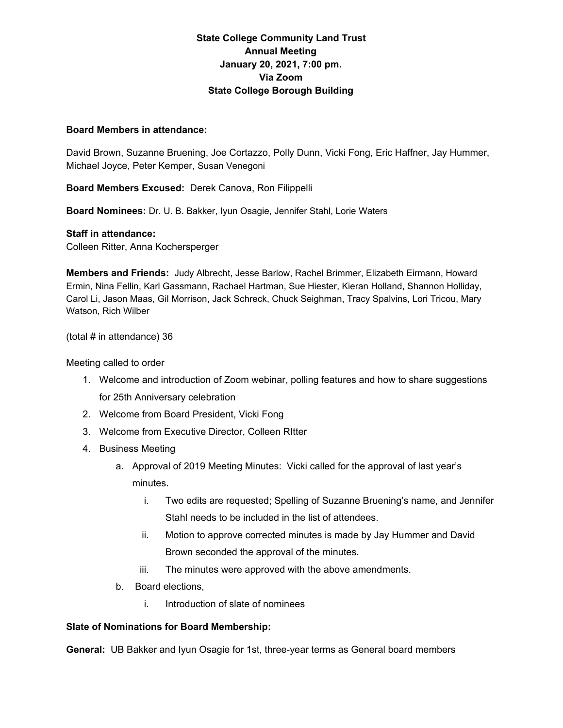## **State College Community Land Trust Annual Meeting January 20, 2021, 7:00 pm. Via Zoom State College Borough Building**

## **Board Members in attendance:**

David Brown, Suzanne Bruening, Joe Cortazzo, Polly Dunn, Vicki Fong, Eric Haffner, Jay Hummer, Michael Joyce, Peter Kemper, Susan Venegoni

**Board Members Excused:** Derek Canova, Ron Filippelli

**Board Nominees:** Dr. U. B. Bakker, Iyun Osagie, Jennifer Stahl, Lorie Waters

## **Staff in attendance:**

Colleen Ritter, Anna Kochersperger

**Members and Friends:** Judy Albrecht, Jesse Barlow, Rachel Brimmer, Elizabeth Eirmann, Howard Ermin, Nina Fellin, Karl Gassmann, Rachael Hartman, Sue Hiester, Kieran Holland, Shannon Holliday, Carol Li, Jason Maas, Gil Morrison, Jack Schreck, Chuck Seighman, Tracy Spalvins, Lori Tricou, Mary Watson, Rich Wilber

(total # in attendance) 36

Meeting called to order

- 1. Welcome and introduction of Zoom webinar, polling features and how to share suggestions for 25th Anniversary celebration
- 2. Welcome from Board President, Vicki Fong
- 3. Welcome from Executive Director, Colleen RItter
- 4. Business Meeting
	- a. Approval of 2019 Meeting Minutes: Vicki called for the approval of last year's minutes.
		- i. Two edits are requested; Spelling of Suzanne Bruening's name, and Jennifer Stahl needs to be included in the list of attendees.
		- ii. Motion to approve corrected minutes is made by Jay Hummer and David Brown seconded the approval of the minutes.
		- iii. The minutes were approved with the above amendments.
	- b. Board elections,
		- i. Introduction of slate of nominees

## **Slate of Nominations for Board Membership:**

**General:** UB Bakker and Iyun Osagie for 1st, three-year terms as General board members